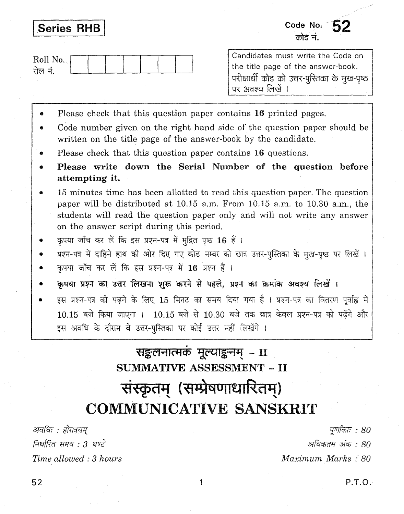## **Series RHB**

Code No.  $52$ ਨੀਟ ਜੰ

| Roll No |  |  |  |  |
|---------|--|--|--|--|
|         |  |  |  |  |

Candidates must write the Code on the title page of the answer-book. परीक्षार्थी कोड को उत्तर-पुस्तिका के मुख-पृष्ठ पर अवश्य लिखें ।

- Please check that this question paper contains 16 printed pages.
- Code number given on the right hand side of the question paper should be written on the title page of the answer-book by the candidate.
- Please check that this question paper contains 16 questions.
- Please write down the Serial Number of the question before attempting it.
- 15 minutes time has been allotted to read this question paper. The question paper will be distributed at 10.15 a.m. From 10.15 a.m. to 10.30 a.m., the students will read the question paper only and will not write any answer on the answer script during this period.
- कपया जाँच कर लें कि इस प्रश्न-पत्र में मद्रित पुष्ठ 16 हैं।
- प्रश्न-पत्र में दाहिने हाथ की ओर दिए गए कोड नम्बर को छात्र उत्तर-पुस्तिका के मुख-पृष्ठ पर लिखें।
- कपया जाँच कर लें कि इस प्रश्न-पत्र में 16 प्रश्न हैं।
- कृपया प्रश्न का उत्तर लिखना शुरू करने से पहले, प्रश्न का क्रमांक अवश्य लिखें ।
- इस प्रश्न-पत्र को पढने के लिए 15 मिनट का समय दिया गया है। प्रश्न-पत्र का वितरण पर्वाह्न में 10.15 बजे किया जाएगा । 10.15 बजे से 10.30 बजे तक छात्र केवल प्रश्न-पत्र को पढेंगे और इस अवधि के दौरान वे उत्तर-पुस्तिका पर कोई उत्तर नहीं लिखेंगे ।

# सङ्कलनात्मकं मूल्याङ्कनम् –  $\overline{\mathbf{u}}$ SUMMATIVE ASSESSMENT - II संस्कृतम् (सम्प्रेषणाधारितम्) COMMUNICATIVE SANSKRIT

अवधिः : होरात्रयम निर्धारित समय · 3 घण्टे Time allowed: 3 hours

पर्णाकाः : 80 अधिकतम अंक : 80 Maximum Marks: 80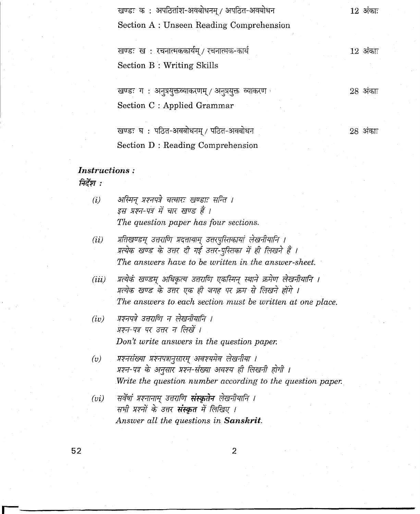|                      | खण्डः कः अपठितांश-अवबोधनम् / अपठित-अवबोधन             | $12$ अंकाः |
|----------------------|-------------------------------------------------------|------------|
|                      | Section A: Unseen Reading Comprehension               |            |
|                      |                                                       |            |
|                      | खण्डः ख: रचनात्मककार्यम् / रचनात्मक-कार्य             | $12$ अंकाः |
|                      | <b>Section B: Writing Skills</b>                      |            |
|                      |                                                       |            |
|                      | खण्डः ग : अनुप्रयुक्तव्याकरणम् / अनुप्रयुक्तं व्याकरण | $28$ अंकाः |
|                      | Section C : Applied Grammar                           |            |
|                      | खण्डः घ: पठित-अवबोधनम् / पठित-अवबोधन                  | $28$ अंकाः |
|                      | Section D: Reading Comprehension                      |            |
| <i>Instructions:</i> |                                                       |            |

निर्देश $\,$  :

| (i)              | अस्मिन् प्रश्नपत्रे चत्वारः खण्डाः सन्ति ।                            |
|------------------|-----------------------------------------------------------------------|
|                  | इस प्रश्न-पत्र में चार खण्ड हैं ।                                     |
|                  | The question paper has four sections.                                 |
| (ii)             | प्रतिखण्डम् उत्तराणि प्रदत्तायाम् उत्तरपुस्तिकायां लेखनीयानि ।        |
|                  | प्रत्येक खण्ड के उत्तर दी गई उत्तर-पुस्तिका में ही लिखने हैं ।        |
|                  | The answers have to be written in the answer-sheet.                   |
| (iii)            | प्रत्येकं खण्डम् अधिकृत्य उत्तराणि एकस्मिन् स्थाने क्रमेण लेखनीयानि । |
|                  | प्रत्येक खण्ड के उत्तर एक ही जगह पर क्रम से लिखने होंगे ।             |
|                  | The answers to each section must be written at one place.             |
| $(\mathrm{i} v)$ | प्रश्नपत्रे उत्तराणि न लेखनीयानि ।                                    |
|                  | प्रश्न-पत्र पर उत्तर न लिखें ।                                        |
|                  | Don't write answers in the question paper.                            |
| (v)              | प्रश्नसंख्या प्रश्नपत्रानुसारम् अवश्यमेव लेखनीया ।                    |
|                  | प्रश्न-पत्र के अनुसार प्रश्न-संख्या अवश्य ही लिखनी होगी ।             |
|                  | Write the question number according to the question paper.            |
| (vi)             | सर्वेषां प्रश्नानाम् उत्तराणि <b>संस्कृतेन</b> लेखनीयानि ।            |
|                  | सभी प्रश्नों के उत्तर <b>संस्कृत</b> में लिखिए ।                      |
|                  | Answer all the questions in <b>Sanskrit</b> .                         |
|                  |                                                                       |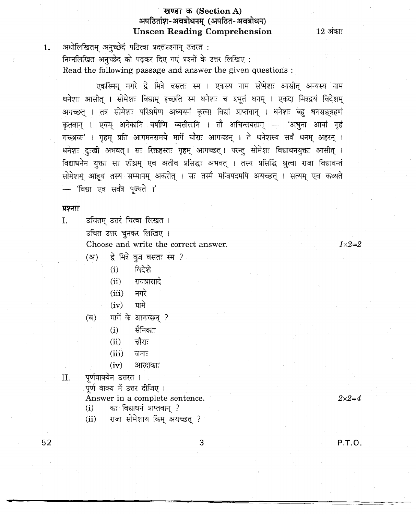#### खण्डः क (Section A) अपठितांश-अवबोधनम् (अपठित-अवबोधन) Unseen Reading Comprehension

 $12$  अंकाः

1. अधोलिखितम् अनुच्छेदं पठित्वा प्रदत्तप्रश्नान् उत्तरत : निम्नलिखित अनुच्छेद को पढ़कर दिए गए प्रश्नों के उत्तर लिखिए:

Read the following passage and answer the given questions :

एकस्मिन् नगरे द्वे मित्रे वसतः स्म । एकस्य नाम सोमेशः आसीत् अन्यस्य नाम धनेशः आसीत् । सोमेशः विद्याम् इच्छति स्म धनेशः च प्रभूतं धनम् । एकदा मित्रद्वयं विदेशम् आगच्छत् । तत्र सोमेशः परिश्रमेण अध्ययनं कृत्वा विद्यां प्राप्तवान् । धनेशः बहु धनसङ्ग्रहणं ~ I ~ ~ qqffUr 04Cil(jlf::! I "ill 3ifi1'"fjllctll"l - '31~ 31fCli "% गच्छावः' । गृहम् प्रति आगमनसमये मार्गे चौराः आगच्छन् । ते धनेशस्य सर्वं धनम् अहरन् । धनेशः दुःखी अभवत् । सः रिक्तहस्तः गृहम् आगच्छत् । परन्तु सोमेशः विद्याधनयुक्तः आसीत् । विद्याधनेन युक्तः सः शीघ्रम् एव अतीव प्रसिद्धः अभवत् । तस्य प्रसिद्धि श्रृत्वा राजा विद्यावन्तं सोमेशम् आहय तस्य सम्मानम् अकरोत् । सः तस्मै मन्त्रिपदमपि अयच्छत् । सत्यम् एव कथ्यते - 'विद्या एव सर्वत्र पूज्यते ।'

#### प्रश्नाः

उचितम् उत्तरं चित्वा लिखत ।  $\mathbf{I}$ . उचित उत्तर चुनकर लिखिए । Choose and write the correct answer.

 $1 \times 2 = 2$ 

- (अ) ह्रे मित्रे कुत्र वसतः स्म ?<br>(i) विदेशे
	- $(i)$
	- $(ii)$   $\overline{1}$   $\overline{3}$   $\overline{4}$
	- (iii) नगरे<br>(iv) ग्रामे
	- $(iv)$
- (ब) मार्गे के आगच्छन् ?
	- $(i)$  सैनिकाः
	- $(iii)$  चौराः
	- $(iii)$  जनाः
	- $(iv)$  अारक्षकाः
- II. पर्णवाक्येन उत्तरत ।

पूर्ण वाक्य में उत्तर दीज़िए ।

Answer in a complete sentence.  $(i)$  कः विद्याधनं प्राप्तवान् ?

(ii) राजा सोमेशाय किम् अयच्छत् ?

3

 $2 \times 2 = 4$ 

52

P.T.D.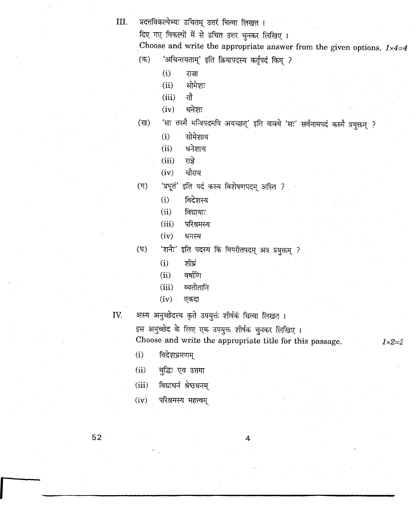III. प्रदत्तविकल्पेभ्यः उचितम् उत्तरं चित्वा लिखत ।

दिए गए विकल्पों में से उचित उत्तर चुनकर लिखिए।

Choose and write the appropriate answer from the given options.  $1 \times 4=4$ 

- (क) 'अचिन्तयताम्' इति क्रियापदस्य कर्तृपदं किम् ?
	- $(i)$   $\overline{ij}$
	- $(ii)$  सोमेशः
	- $(iii)$  तौ
	- $(iv)$  धनेशः
- (ख) 'सः तस्मै मन्त्रिपदमपि अयच्छत्' इति वाक्ये 'सः' सर्वनामपदं कस्मै प्रयुक्तम् ?
	- (i) सोमेशाय
	- $(ii)$  धनेशाय
	- $(iii)$  राज्ञे
	- $(iv)$  चौराय
- (ग) 'प्रभूतं' इति पदं कस्य विशेषणपदम् अस्ति ?
	- $(i)$  विदेशस्य
	- $(ii)$  विद्यायाः
	- (iii) परिश्रमस्य
	- $(iv)$  धनस्य
- (घ) 'शनैः' इति पदस्य किं विपरीतपदम् अत्र प्रयुक्तम् ?
	- $(i)$  शीघ्रं
	- $(ii)$  वर्षाणि
	- (iii) व्यतीतानि
	- $(iv)$  एकदा
- IV. अस्य अनुच्छेदस्य कृते उपयुक्तं शीर्षकं चित्वा लिखत ।
	- इस अनुच्छेद के लिए एक उपयुक्त शीर्षक चुनकर लिखिए । Choose and write the appropriate title for this passage.  $1 \times 2 = 2$
	- $(i)$  विदेशभ्रमणम्
	- (ii) बुद्धिः एव उत्तमा
	- $(iii)$  विद्याधनं श्रेष्ठधनम्
	- $(iv)$  परिश्रमस्य महत्त्वम्

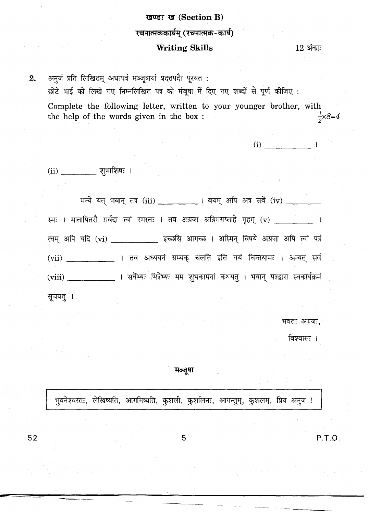# खण्डः ख (Section B) रचनात्मककार्यम् (रचनात्मक-कार्य) **Writing Skills**

 $12$  अंकाः

अनुजं प्रति लिखितम् अधःपत्रं मञ्जूषायां प्रदत्तपदैः पूरयत:  $2.$ छोटे भाई को लिखे गए निम्नलिखित पत्र को मंजूषा में दिए गए शब्दों से पूर्ण कीजिए : Complete the following letter, written to your younger brother, with  $\frac{1}{2} \times 8 = 4$ the help of the words given in the box :

 $(i)$   $\qquad \qquad$  |

 $(ii)$   $[3]$  | शुभाशिषः |

मन्ये यत् भवान् तत्र (iii) \_ \_ \_ \_ \_ । वयम् अपि अत्र सर्वे (iv) \_ \_ \_ \_ \_ स्मः । मातापितरौ सर्वदा त्वां स्मरतः । तव अग्रजा अग्रिमसप्ताहे गृहम् (v) \_\_\_\_\_\_\_\_\_\_ । त्वम् अपि यदि (vi) \_\_\_\_\_\_\_\_\_\_\_\_ इच्छसि आगच्छ । अस्मिन् विषये अग्रजा अपि त्वां पत्रं (vii) \_\_\_\_\_\_\_\_\_\_\_\_\_\_\_\_ । तव अध्ययनं सम्यक् चलति इति वयं चिन्तयामः । अन्यत् सर्वं (viii) | | सर्वेभ्यः मित्रेभ्यः मम शुभकामनां कथयत् । भवान् पत्रद्वारा स्वकार्यक्रमं

सूचयत् ।

भवतः अग्रजः.

विश्वासः ।

मञ्जूषा

भवनेश्वरतः, लेखिष्यति, आगमिष्यति, कुशली, कुशलिनः, आगन्तुम्, कुशलम्, प्रिय अनुज !

P.T.O.

5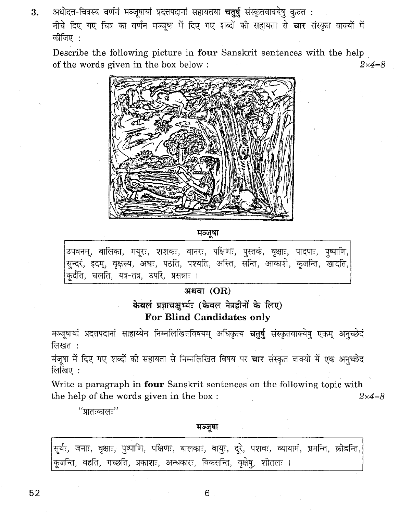3. अधोदत्त-चित्रस्य वर्णनं मञ्जूषायां प्रदत्तपदानां सहायतया चतुर्षु संस्कृतवाक्येषु कुरुत**ः** नीचे दिए गए चित्र का वर्णन मञ्जूषा में दिए गए शब्दों की सहायता से चार संस्कृत वाक्यों में कोजिए $\,$  :

Describe the following picture in four Sanskrit sentences with the help of the words given in the box below :  $2 \times 4 = 8$ 



मञ्जूषा

उपवनम्, बालिका, मयूरः, शशकः, वानरः, पक्षिणः, पुस्तकं, वृक्षाः, पादपाः, पुष्पाणि, सुन्दरं, इदम्, वृक्षस्य, अधः, पठति, पश्यति, अस्ति, सन्ति, आकाशे, कूजन्ति, खादति, कूर्दति, चलति, यत्र-तत्र, उपरि, प्रसन्नाः ।

#### अथवा $(OR)$

केवलं प्रज्ञाचक्षुर्थ्यः (केवल नेत्रहीनों के लिए) **For Blind Candidates only** 

मञ्जूषायां प्रदत्तपदानां साहाय्येन निम्नलिखितविषयम् अधिकृत्य **चतुर्षु** संस्कृतवाक्येषु एकम् अनुच्छेदं लिखत):

मंजूषा में दिए गए शब्दों की सहायता से निम्नलिखित विषय पर चार संस्कृत वाक्यों में एक अनुच्छेद लिखिए :

Write a paragraph in four Sanskrit sentences on the following topic with the help of the words given in the box:  $2 \times 4 = 8$ 

''प्रातःकालः''

मञ्जूषा

|  |  |  |                                                                       |  | सूर्यः, जनाः, वृक्षाः, पुष्पाणि, पक्षिणः, बालकाः, वायुः, दूरे, पशवः, व्यायामं, भ्रमन्ति, क्रीडन्ति, |  |
|--|--|--|-----------------------------------------------------------------------|--|-----------------------------------------------------------------------------------------------------|--|
|  |  |  | कूजन्ति, वहति, गच्छति, प्रकाशः, अन्धकारः, विकसन्ति, वृक्षेषु, शीतलः । |  |                                                                                                     |  |

 $52$  6.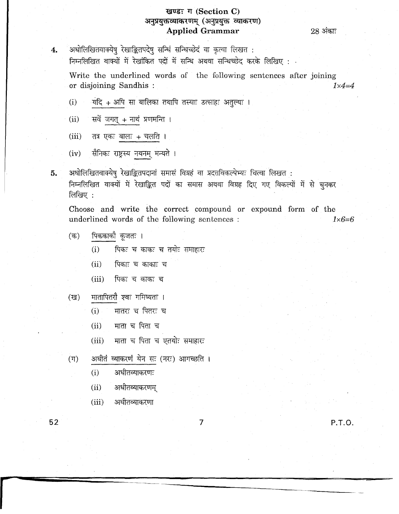### खण्डः ग (Section C) अनुप्रयुक्तव्याकरणम् (अनुप्रयुक्तं व्याकरण) **Applied Grammar**

28 अंकाः

अधोलिखितवाक्येषु रेखाङ्कितपदेषु सन्धिं सन्धिच्छेदं वा कृत्वा लिखत : निम्नलिखित वाक्यों में रेखांकित पदों में सन्धि अथवा सन्धिच्छेद करके लिखिए : .

Write the underlined words of the following sentences after joining or disjoining Sandhis:  $1 \times 4 = 4$ 

- यदि + अपि सा बालिका तथापि तस्याः उत्साहः अतुल्यः ।  $(i)$
- सर्वे जगत् + नाथं प्रणमन्ति ।  $(ii)$
- तत्र एकः बालः + चलति ।  $(iii)$
- सैनिकः राष्ट्रस्य नयनम् मन्यते ।  $(iv)$
- अधोलिखितवाक्येषु रेखाङ्कितपदानां समासं विग्रहं वा प्रदत्तविकल्पेभ्यः चित्वा लिखत : 5. निम्नलिखित वाक्यों में रेखाङ्कित पदों का समास अथवा विग्रह दिए गए विकल्पों में से चुनकर लिखिए:

Choose and write the correct compound or expound form of the underlined words of the following sentences :  $1 \times 6 = 6$ 

- पिककाकौ कूजतः ।  $($ क)
	- $(i)$ पिकः च काकः च तयोः समाहारः
	- $(ii)$ पिकाः च काकाः च
	- $(iii)$ पिकः च काकः च
- मातापितरौ श्वः गमिष्यतः ।  $(\overline{g})$ 
	- मातरः च पितरः च  $(i)$
	- माता च पिता च  $(ii)$
	- माता च पिता च एतयोः समाहारः  $(iii)$
- अधीतं व्याकरणं येन सः (नरः) आगच्छति ।  $(\Pi)$ 
	- $(i)$ अधीतव्याकरणः
	- $(ii)$ अधीतव्याकरणम्
	- अधीतव्याकरणा  $(iii)$

52

 $4.$ 

P.T.O.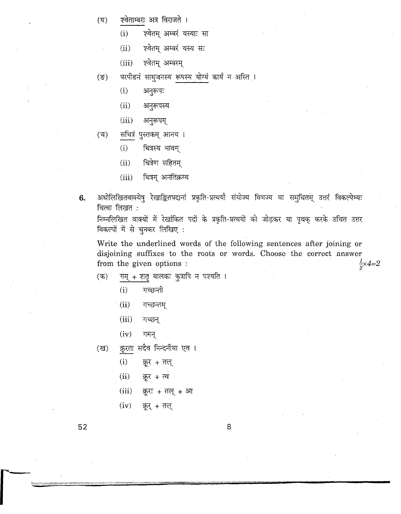- (घ) एवेताम्बरा अत्र विराजते ।
	- (i) एवेतम् अम्बरं यस्याः सा
	- (ii) एवेतम् अम्बरं यस्य सः

(iii) एवेतम् अम्बरम्

- (ङ) परपीडनं साध्जनस्य रूपस्य योग्यं कार्यं न अस्ति ।
	- $(i)$  अनुरूपः
	- (ii) अनुरूपस्य
	- $(iii)$  अनुरूपम्
- (च) सचित्रं पुस्तकम् आनय ।
	- $(i)$  वित्रस्य भावम्
	- $(ii)$  चित्रेण सहितम्
	- $(iii)$  चित्रम् अनतिक्रम्य
- 6. अधोलिखितवाक्येषु रेखाङ्कितपदानां प्रकृति-प्रत्ययौ संयोज्य विभज्य वा समुचितम् उत्तरं विकल्पेभ्यः चित्वा लिखत $~:$

निम्नलिखित वाक्यों में रेखांकित पदों के प्रकृति-प्रत्ययों को जोड़कर या पृथक करके उचित उत्तर विकल्पों में से चुनकर लिखिए:

Write the underlined words of the following sentences after joining or disjoining suffixes to the roots or words. Choose the correct answer from the given options :  $\frac{1}{2} \times 4 = 2$ from the given options :

- $(\pi)$  गम् + शतृ बालकः कुत्रापि न पश्यति ।
	- (i) गच्छन्ती
	- . (ii) गच्छन्तम्
	- (iii) गच्छन्
	- $(iv)$  गमन्
- (ख) क्रूरता सदैव निन्दनीया एव ।
	- $(i)$   $\overline{z}$   $\overline{z}$   $+$   $\overline{z}$   $\overline{z}$
	- $(ii)$  क्रूर + त्व
	- $(iii)$  क्रूरः + तल् + आ
	- $(iv)$  क्रूर् + तल्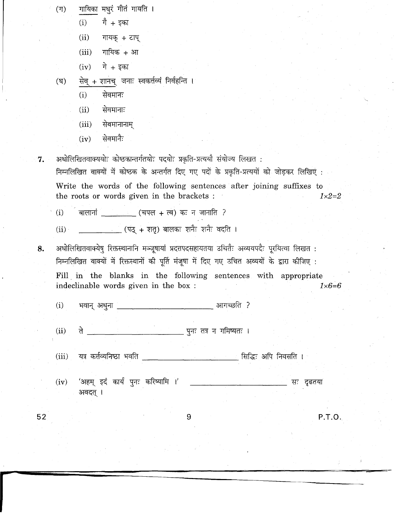गायिका मधुरं गीतं गायति ।  $(T)$ 

 $(i)$  गै + इका

- $(ii)$  गायक् + टाप्
- $(iii)$  गायिक + आ
- $(iv)$  गे + इका
- (घ) सेव् + शानच् जनाः स्वकर्त्तव्यं निर्वहन्ति ।
	- $(i)$  सेवमानः
	- $(ii)$  सेवमानाः
	- $(iii)$  सेवमानानाम्
	- $(iv)$  सेवमानैः

7. अधोलिखितवाक्ययोः कोष्ठकान्तर्गतयोः पदयोः प्रकृति-प्रत्ययौ संयोज्य लिखत:

निम्नलिखित वाक्यों में कोष्ठक के अन्तर्गत दिए गए पदों के प्रकृति-प्रत्ययों को जोड़कर लिखिए : Write the words of the following sentences after joining suffixes to the roots or words given in the brackets :  $1 \times 2=2$ 

- (i) बालानां \_\_\_\_\_\_\_\_\_ (चपल + त्व) कः न जानाति ?
- $(iii)$ \_\_\_\_\_\_\_\_\_\_\_\_\_\_(पठ् + शतृ) बालकः शनैः शनैः वदति ।
- 8. अधोलिखितवाक्येष् रिक्तस्थानानि मञ्जूषायां प्रदत्तपदसहायतया उचितैः अव्ययपदैः पूरयित्वा लिखत : निम्नलिखित वाक्यों में रिक्तस्थानों की पूर्ति मंजूषा में दिए गए उचित अव्ययों के द्वारा कीजिए : Fill in the blanks in the following sentences with appropriate indeclinable words given in the box :  $1 \times 6=6$ 
	- (i) ~ 31~ 3lIJI'60m ?

(ii) <sup>~</sup> ~'"1: m 1" JlmiSljd: <sup>I</sup>

- यत्र कर्त्तव्यनिष्ठा भवति \_\_\_\_\_\_\_\_\_\_\_\_\_\_\_\_\_\_\_\_\_\_\_\_\_\_\_\_\_\_\_\_\_ सिद्धिः अपि निवसति । (iii)
- (iv) '3lQ1=l <sup>~</sup> CflPf ~'"1: ChRiSljlfB I' \_\_\_\_ ~ "B: ~ अवदत् ।

**52** 9 **P.T.D.**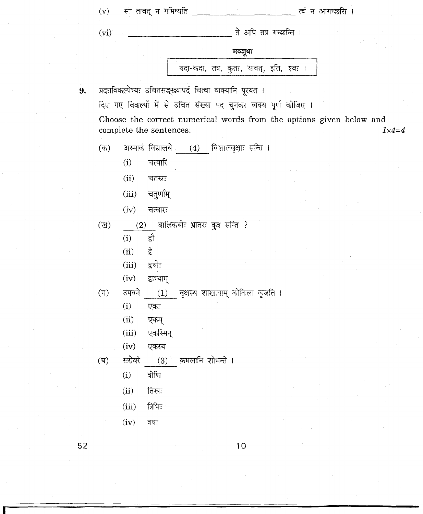|    | (v)              |        | सः तावत् न गमिष्यति                                                                            |                                |                                         |  | त्वं न आगच्छसि । |  |                  |
|----|------------------|--------|------------------------------------------------------------------------------------------------|--------------------------------|-----------------------------------------|--|------------------|--|------------------|
|    | (vi)             |        |                                                                                                |                                | ते अपि तत्र गच्छन्ति ।                  |  |                  |  |                  |
|    |                  |        |                                                                                                |                                | मञ्जूषा                                 |  |                  |  |                  |
|    |                  |        |                                                                                                |                                | यदा-कदा, तत्र, कुतः, यावत्, इति, श्वः । |  |                  |  |                  |
| 9. |                  |        | प्रदत्तविकल्पेभ्यः उचितसङ्ख्यापदं चित्वा वाक्यानि पूरयत ।                                      |                                |                                         |  |                  |  |                  |
|    |                  |        | दिए गए विकल्पों में से उचित संख्या पद चुनकर वाक्य पूर्ण कीजिए ।                                |                                |                                         |  |                  |  |                  |
|    |                  |        | Choose the correct numerical words from the options given below and<br>complete the sentences. |                                |                                         |  |                  |  | $1 \times 4 = 4$ |
|    | (क)              |        | अस्माकं विद्यालये                                                                              |                                | (4) विशालवृक्षाः सन्ति ।                |  |                  |  |                  |
|    |                  | (i)    | चत्वारि                                                                                        |                                |                                         |  |                  |  |                  |
|    |                  | (ii)   | चतस्रः                                                                                         |                                |                                         |  |                  |  |                  |
|    |                  | (iii)  | चतुर्णाम्                                                                                      |                                |                                         |  |                  |  |                  |
|    |                  | (iv)   | चत्वारः                                                                                        |                                |                                         |  |                  |  |                  |
|    | $(\overline{u})$ | (2)    |                                                                                                | बालिकयोः भ्रातरः कुत्र सन्ति ? |                                         |  |                  |  |                  |
|    |                  | (i)    | द्वौ                                                                                           |                                |                                         |  |                  |  |                  |
|    |                  | (ii)   | हे                                                                                             |                                |                                         |  |                  |  |                  |
|    |                  | (iii)  | द्वयोः                                                                                         |                                |                                         |  |                  |  |                  |
|    |                  | (iv)   | द्वाभ्याम्                                                                                     |                                |                                         |  |                  |  |                  |
|    | $(\mathbb{F})$   | उपवने  | (1)                                                                                            |                                | वृक्षस्य शाखायाम् कोकिला कूजति ।        |  |                  |  |                  |
|    |                  | (i)    | एकः                                                                                            |                                |                                         |  |                  |  |                  |
|    |                  | (ii)   | एकम्                                                                                           |                                |                                         |  |                  |  |                  |
|    |                  | (iii)  | एकस्मिन्                                                                                       |                                |                                         |  |                  |  |                  |
|    |                  | (iv)   | एकस्य                                                                                          |                                |                                         |  |                  |  |                  |
|    | $(\overline{B})$ | सरोवरे | (3) कमलानि शोभन्ते ।                                                                           |                                |                                         |  |                  |  |                  |
|    |                  | (i)    | त्रीणि                                                                                         |                                |                                         |  |                  |  |                  |
|    |                  | (ii)   | तिस्रः                                                                                         |                                |                                         |  |                  |  |                  |
|    |                  | (iii)  | त्रिभिः                                                                                        |                                |                                         |  |                  |  |                  |
|    |                  | (iv)   | त्रयः                                                                                          |                                |                                         |  |                  |  |                  |
| らっ |                  |        |                                                                                                |                                |                                         |  |                  |  |                  |

10

 $\sigma_{\rm{max}}$ 

 $52$ 

 $\frac{1}{2}$ 

 $\frac{1}{2}$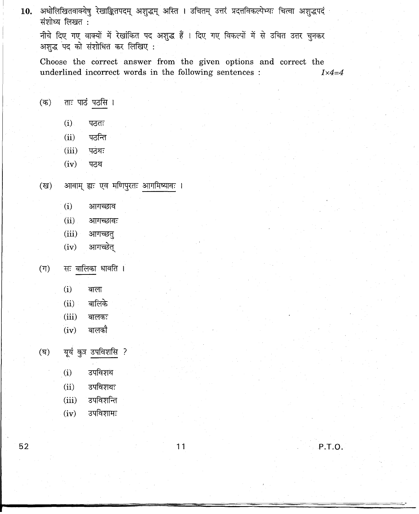10. अधोलिखितवाक्येषु रेखाङ्कितपदम् अशुद्धम् अस्ति । उचितम् उत्तरं प्रदत्तविकल्पेभ्यः चित्वा अशुद्धपदं संशोध्य लिखत:

नीचे दिए गए वाक्यों में रेखांकित पद अशुद्ध हैं । दिए गए विकल्पों में से उचित उत्तर चुनकर अशुद्ध पद को संशोधित कर लिखिए:

Choose the correct answer from the given options and correct the underlined incorrect words in the following sentences :  $1 \times 4 = 4$ underlined incorrect words in the following sentences :

- $($ क) ताः पाठं पठसि ।
	- $(i)$  पठतः
	- $(ii)$   $\sqrt{45}$ नि
	- $(iii)$  पठथः
	- $(iv)$  पठथ
- आवाम् ह्यः एव मणिपुरतः आगमिष्यावः ।  $(\overline{g})$ 
	- (i) आगच्छाव
	- $(ii)$ आगच्छावः
	- $(iii)$ आगच्छत्
	- आगच्छेत  $(iv)$
- सः बालिका धावति ।  $(T)$ 
	- $(\rm i)$  ক
	- बाला<br>बालिके  $(ii)$
	- $(iii)$ बालकः
	- बालकौ  $(iv)$

यूयं कुत्र उपविशसि ?  $(\overline{v})$ 

- - $(i)$ उपविशथ
	- उपविशथः
	-
	-

उपविशामः

- 
- 
- 
- उपविशन्ति
- 
- 
- 
- 
- 
- $(ii)$
- $(iii)$

 $(iv)$ 

- 52 **11 P.T.D.**
-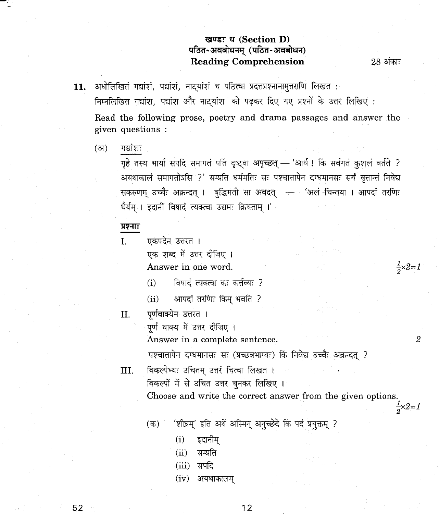#### <sup>~</sup> **'C:f (Section D)** पठित-अवबोधनम् (पठित-अवबोधन) **Reading Comprehension** 28 अंकाः

 $\frac{1}{2} \times 2 = 1$ 

11. अधोलिखितं गद्यांशं, पद्यांशं, नाट्यांशं च पठित्वा प्रदत्तप्रश्नानामुत्तराणि लिखत**:** निम्नलिखित गद्यांश, पद्यांश और नाट्यांश को पढ़कर दिए गए प्रश्नों के उत्तर लिखिए :

Read the following prose, poetry and drama passages and answer the given questions :

(अ) गद्यांशः

गृहे तस्य भार्या सपदि समागतं पतिं दृष्ट्वा अपृच्छत् — 'आर्य! किं सर्वगतं कुशलं वर्तते ? अयथाकालं समागतोऽसि ?' सम्प्रति धर्ममतिः सः पश्चात्तापेन दग्धमानसः सर्वं वृत्तान्तं निवेद्य सकरुणम् उच्चैः अक्रन्दत् । बुद्धिमती सा अवदत् – क्ष्यं चिन्तया । आपदां तरणिः धैर्यम् । इदानीं विषादं त्यक्त्वा उद्यमः क्रियताम् ।'

#### प्रश्नाः

एकपदेन उत्तरत । एक शब्द में उत्तर दीजिए । I.

Answer in one word.

- $(i)$   $\qquad$  विषादं त्यक्त्वा कः कर्त्तव्यः ?
- (ii) आपदां तरणिः किम् भवति ?

#### II. पूर्णवाक्येन उत्तरत ।

पर्ण वाक्य में उत्तर दीजिए ।

Answer in a complete sentence. 2

पश्चात्तापेन दग्धमानसः सः (प्रच्छन्नभाग्यः) किं निवेद्य उच्चैः अक्रन्दत् ?

 $III.$  विकल्पेभ्यः उचितम् उत्तरं चित्वा लिखत ।

विकल्पों में से उचित उत्तर चुनकर लिखिए ।

Choose and write the correct answer from the given options.  $\frac{1}{2} \times 2 = 1$ 

- (क) ' 'शीघ्रम्' इति अर्थे अस्मिन् अनुच्छेदे किं पदं प्रयुक्तम् ?
	- $(i)$  इदानीम्
	- $(ii)$  सम्प्रति
	- $(iii)$  सपदि
	- $(iv)$  अयथाकालम्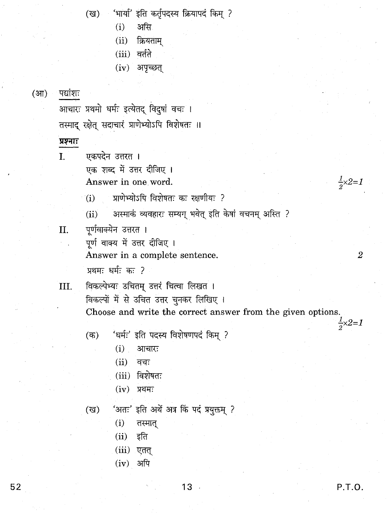(ख) 'भार्या' इति कर्तृपदस्य क्रियापदं किम् ?

- $(i)$  असि
- $(ii)$  क्रियताम्
- $(iii)$  वर्तते
- $(iv)$  अपच्छत्

(आ) पद्यांशः

आचारः प्रथमो धर्मः इत्येतद् विदुषां वचः । तस्माद रक्षेत् सदाचारं प्राणेभ्योऽपि विशेषतः ॥

#### प्रश्नाः

I. ~Chqe:'""I~ <sup>I</sup> एक शब्द में उत्तर दीजिए । Answer in one word.

 $\tilde{a}$  ) जाणेभ्योऽपि विशेषतः कः रक्षणीयः ?

(ii) अस्माकं व्यवहारः सम्यग् भवेत् इति केषां वचनम् अस्ति ?

II. पूर्णवाक्येन उत्तरत ।

पूर्ण वाक्य में उत्तर दीजिए ।

Answer in a complete sentence.

<u>प्रथमः धर्मः कः ?</u>

III. विकल्पेभ्यः उचितम् उत्तरं चित्वा लिखत । विकल्पों में से उचित उत्तर चुनकर लिखिए। Choose and write the correct answer from the given options.  $\frac{1}{2} \times 2 = 1$ 

- (क) 'धर्मः' इति पदस्य विशेषणपदं किम् ?
	- $(i)$  आचारः
	- $(ii)$  वचः
	- $(iii)$  विशेषतः
	- $(iv)$  प्रथमः

- (ख) 'अतः' इति अर्थे अत्र किं पदं प्रयुक्तम् ?
	- $(i)$  तस्मात्
	- $(ii)$  इति
	- $(iii)$  एतत्
	- $(iv)$  अपि

 $\frac{1}{2} \times 2 = 1$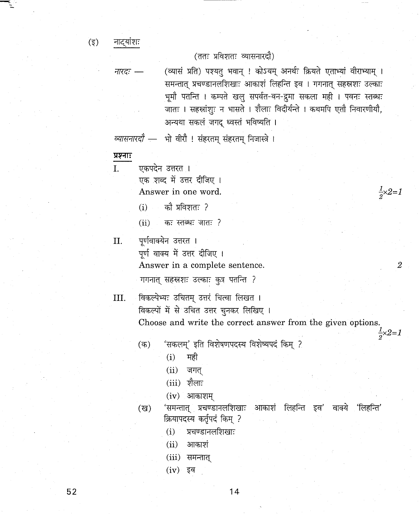$(\overline{\xi})$ नाट्यांशः

#### (ततः प्रविशतः व्यासनारदौ)

*नारदः —* (व्यासं प्रति) पश्यतु भवान् ! कोऽयम् अनर्थः क्रियते एताभ्यां वीराभ्याम् । समन्तात् प्रचण्डानलशिखाः आकाशं लिहन्ति इव । गगनात् सहस्रशः उल्काः भूमौ पतन्ति । कम्पते खलु सपर्वत-वन-द्रुमा सकला मही । पवनः स्तब्धः जातः । सहस्रांशुः न भासते । शैलाः विदीर्यन्ते । कथमपि एतौ निवारणीयौ, अन्यथा सकलं जगद् ध्वस्तं भविष्यति ।

 $\frac{1}{2} \times 2 = 1$ 

2

 $\frac{1}{2} \times 2 = 1$ 

व्यासनारदौ - भो वीरौ ! संहरतम् संहरतम् निजास्त्रे ।

- प्रश्नाः
- I. एकपदेन उत्तरत । एक शब्द में उत्तर दीजिए । Answer **in** one word.
	- $(i)$  को प्रविशतः ?
	- $(ii)$  कः स्तब्धः जातः ?
	- **II.** पूर्णवाक्येन उत्तरत । पूर्ण वाक्य में उत्तर दीजिए ।

Answer **in** a complete sentence.

गगनात् सहस्रशः उल्काः कुत्र पतन्ति ?

**III.**

विकल्पेभ्यः उचितम् उत्तरं चित्वा लिखत । विकल्पों में से उचित उत्तर चुनकर लिखिए । Choose and write the correct answer from the given options.

- 'सकलम्' इति विशेषणपदस्य विशेष्यपदं किम् ?  $($ क)
	- $(i)$  मही
	- $(ii)$  जगत्
	- $(iii)$  शैलाः
	- $(iv)$  आकाशम्
- 'समन्तात् प्रचण्डानलशिखाः आकाशं लिहन्ति इव' वाक्ये 'लिहन्ति' क्रियापदस्य कर्तृपदं किम् ? ('&)
	- $(i)$  प्रचण्डानलशिखाः
	- $(ii)$  आकाशं
	- (iii) समन्तात्
	- $(iv)$  इव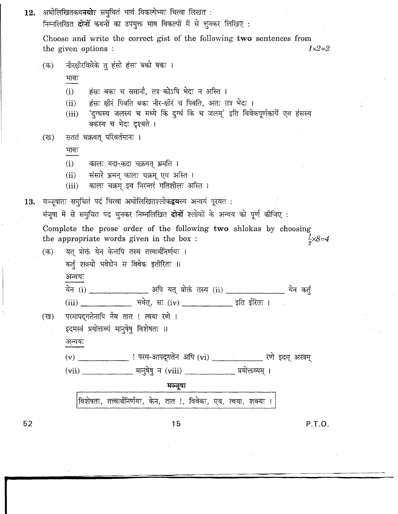| 12. | अधोलिखितकथ <b>नयोः</b> समुचितं भावं विकल्पेभ्यः चित्वा लिखत <b>ः</b><br>निम्नलिखित <b>दोनों</b> कथनों का उपयुक्त भाव विकल्पों में से चुनकर लिखिए :                                                                                                  |
|-----|-----------------------------------------------------------------------------------------------------------------------------------------------------------------------------------------------------------------------------------------------------|
|     | Choose and write the correct gist of the following two sentences from<br>$1\times2=2$<br>the given options:                                                                                                                                         |
|     | नीरक्षीरविवेके तु हंसो हंसः बको बकः ।<br>(ক)                                                                                                                                                                                                        |
|     | भावः<br>हंसः बकः च समानौ, तत्र कोऽपि भेदः न अस्ति ।<br>(i)<br>हंसः क्षीरं पिबति बकः नीर-क्षीरं च पिबति, अतः तत्र भेदः ।<br>(ii)<br>'दुग्धस्य जलस्य च मध्ये किं दुग्धं किं च जलम्' इति विवेकपूर्णकार्ये एव हंसस्य<br>(iii)<br>बकस्य च भेदः दृश्यते । |
|     | सततं चक्रवत् परिवर्तमानः ।<br>(ख)<br>भावः                                                                                                                                                                                                           |
|     | (i)<br>कालः यदा-कदा चक्रवत् भ्रमति ।<br>संसारे भ्रमन् कालः चक्रम् एव अस्ति ।<br>(ii)<br>कालः चक्रम् इव निरन्तरं गतिशीलः अस्ति ।<br>(iii)                                                                                                            |
| 13. | मञ्जूषातः समुचितं पदं चित्वा अधोलिखितश्लोकद्वयस्य अन्वयं पूरयत :<br>मंजूषा में से समुचित पद चुनकर निम्नलिखित <b>दोनों</b> श्लोकों के अन्वय को पूर्ण कीजिए :                                                                                         |
|     | Complete the prose order of the following two shlokas by choosing<br>the appropriate words given in the box:<br>$\frac{1}{2} \times 8 = 4$                                                                                                          |
|     | यत् प्रोक्तं येन केनापि तस्य तत्त्वार्थनिर्णयः ।<br>(ক)<br>कर्तुं शक्यो भवेद्येन स विवेक इतीरितः ॥                                                                                                                                                  |
|     | अन्वयः                                                                                                                                                                                                                                              |
|     |                                                                                                                                                                                                                                                     |
|     | परमापद्गतेनापि नैव तात ! त्वया रणे ।<br>(ख)<br>इदमस्त्रं प्रयोक्तव्यं मानुषेषु विशेषतः ॥                                                                                                                                                            |
|     | अन्वयः                                                                                                                                                                                                                                              |
|     | (v) _______________ ! परम-आपद्गतेन अपि (vi) ______________ रणे इदम् अस्त्रम्                                                                                                                                                                        |
|     | मञ्जूषा                                                                                                                                                                                                                                             |
|     | विशेषतः, तत्त्वार्थनिर्णयः, केन, तात !, विवेकः, एव, त्वया, शक्यः ।                                                                                                                                                                                  |
| 52  | 15<br>P.T.O.                                                                                                                                                                                                                                        |